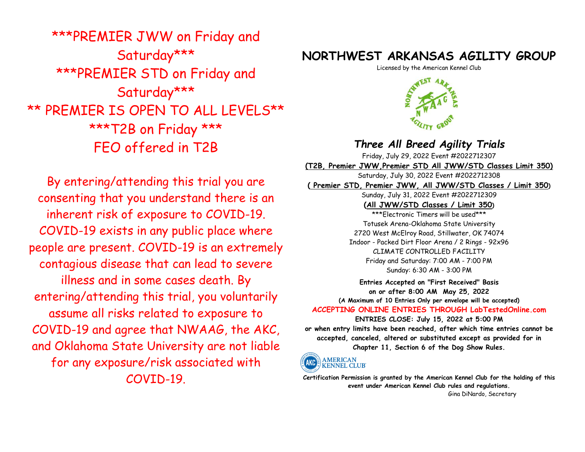\*\*\*PREMIER JWW on Friday and Saturday\*\*\* \*\*\*PREMIER STD on Friday and Saturday\*\*\* \*\* PREMIER IS OPEN TO ALL LEVELS\*\* \*\*\*T2B on Friday \*\*\* FEO offered in T2B

By entering/attending this trial you are consenting that you understand there is an inherent risk of exposure to COVID-19. COVID-19 exists in any public place where people are present. COVID-19 is an extremely contagious disease that can lead to severe illness and in some cases death. By entering/attending this trial, you voluntarily assume all risks related to exposure to COVID-19 and agree that NWAAG, the AKC, and Oklahoma State University are not liable for any exposure/risk associated with COVID-19.

## **NORTHWEST ARKANSAS AGILITY GROUP**

Licensed by the American Kennel Club



# *Three All Breed Agility Trials*

Friday, July 29, 2022 Event #2022712307

**(T2B, Premier JWW,Premier STD All JWW/STD Classes Limit 350)** 

Saturday, July 30, 2022 Event #2022712308

**( Premier STD, Premier JWW, All JWW/STD Classes / Limit 350)** 

Sunday, July 31, 2022 Event #2022712309 **(All JWW/STD Classes / Limit 350)** 

\*\*\*Electronic Timers will be used\*\*\* Totusek Arena-Oklahoma State University 2720 West McElroy Road, Stillwater, OK 74074 Indoor - Packed Dirt Floor Arena / 2 Rings - 92x96 CLIMATE CONTROLLED FACILITY Friday and Saturday: 7:00 AM - 7:00 PM Sunday: 6:30 AM - 3:00 PM

**Entries Accepted on "First Received" Basis on or after 8:00 AM May 25, 2022 (A Maximum of 10 Entries Only per envelope will be accepted) ACCEPTING ONLINE ENTRIES THROUGH LabTestedOnline.com** 

**ENTRIES CLOSE: July 15, 2022 at 5:00 PM or when entry limits have been reached, after which time entries cannot be accepted, canceled, altered or substituted except as provided for in Chapter 11, Section 6 of the Dog Show Rules.**



**Certification Permission is granted by the American Kennel Club for the holding of this event under American Kennel Club rules and regulations.** Gina DiNardo, Secretary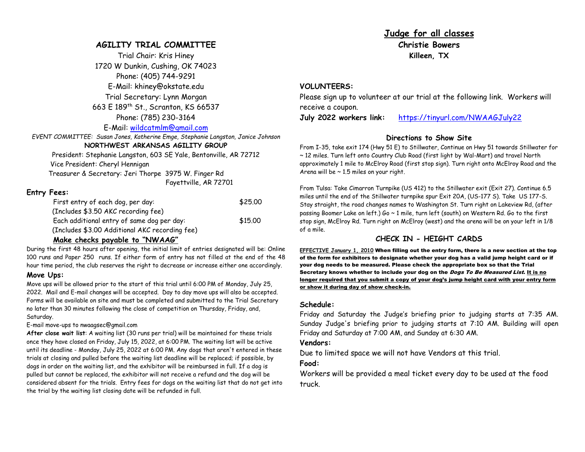#### **AGILITY TRIAL COMMITTEE**

Trial Chair: Kris Hiney 1720 W Dunkin, Cushing, OK 74023 Phone: (405) 744-9291 E-Mail: khiney@okstate.edu Trial Secretary: Lynn Morgan 663 E 189th St., Scranton, KS 66537 Phone: (785) 230-3164

E-Mail: wildcatmlm@gmail.com

*EVENT COMMITTEE: Susan Jones, Katherine Emge, Stephanie Langston, Janice Johnson* 

#### **NORTHWEST ARKANSAS AGILITY GROUP**

 President: Stephanie Langston, 603 SE Yale, Bentonville, AR 72712 Vice President: Cheryl Hennigan Treasurer & Secretary: Jeri Thorpe 3975 W. Finger Rd

Fayettville, AR 72701

#### **Entry Fees:**

| First entry of each dog, per day:              | \$25.00 |
|------------------------------------------------|---------|
| (Includes \$3.50 AKC recording fee)            |         |
| Each additional entry of same dog per day:     | \$15.00 |
| (Includes \$3.00 Additional AKC recording fee) |         |

#### **Make checks payable to "NWAAG"**

 During the first 48 hours after opening, the initial limit of entries designated will be: Online 100 runs and Paper 250 runs. If either form of entry has not filled at the end of the 48 hour time period, the club reserves the right to decrease or increase either one accordingly. **Move Ups:**

 Move ups will be allowed prior to the start of this trial until 6:00 PM of Monday, July 25, 2022. Mail and E-mail changes will be accepted. Day to day move ups will also be accepted. Forms will be available on site and must be completed and submitted to the Trial Secretary no later than 30 minutes following the close of competition on Thursday, Friday, and, Saturday.

#### E-mail move-ups to nwaagsec@gmail.com

**After close wait list**: A waiting list (30 runs per trial) will be maintained for these trials once they have closed on Friday, July 15, 2022, at 6:00 PM. The waiting list will be active until its deadline - Monday, July 25, 2022 at 6:00 PM. Any dogs that aren't entered in these trials at closing and pulled before the waiting list deadline will be replaced; if possible, by dogs in order on the waiting list, and the exhibitor will be reimbursed in full. If a dog is pulled but cannot be replaced, the exhibitor will not receive a refund and the dog will be considered absent for the trials. Entry fees for dogs on the waiting list that do not get into the trial by the waiting list closing date will be refunded in full.

**Judge for all classes Christie Bowers Killeen, TX** 

#### **VOLUNTEERS:**

 Please sign up to volunteer at our trial at the following link. Workers will receive a coupon.

**July 2022 workers link:**https://tinyurl.com/NWAAGJuly22

#### **Directions to Show Site**

 From I-35, take exit 174 (Hwy 51 E) to Stillwater, Continue on Hwy 51 towards Stillwater for ~ 12 miles. Turn left onto Country Club Road (first light by Wal-Mart) and travel North approximately 1 mile to McElroy Road (first stop sign). Turn right onto McElroy Road and the Arena will be  $\sim$  1.5 miles on your right.

From Tulsa: Take Cimarron Turnpike (US 412) to the Stillwater exit (Exit 27). Continue 6.5 miles until the end of the Stillwater turnpike spur Exit 20A, (US-177 S). Take US 177-S. Stay straight, the road changes names to Washington St. Turn right on Lakeview Rd, (after passing Boomer Lake on left.) Go ~ 1 mile, turn left (south) on Western Rd. Go to the first stop sign, McElroy Rd. Turn right on McElroy (west) and the arena will be on your left in 1/8 of a mile.

#### **CHECK IN - HEIGHT CARDS**

**EFFECTIVE January 1, 2010** When filling out the entry form, there is a new section at the top of the form for exhibitors to designate whether your dog has a valid jump height card or if your dog needs to be measured. Please check the appropriate box so that the Trial Secretary knows whether to include your dog on the *Dogs To Be Measured List*. I<u>t is no</u> longer required that you submit a copy of your dog's jump height card with your entry formor show it during day of show check-in.

#### **Schedule:**

 Friday and Saturday the Judge's briefing prior to judging starts at 7:35 AM. Sunday Judge's briefing prior to judging starts at 7:10 AM. Building will open Friday and Saturday at 7:00 AM, and Sunday at 6:30 AM.

#### **Vendors:**

Due to limited space we will not have Vendors at this trial.

#### **Food:**

 Workers will be provided a meal ticket every day to be used at the food truck.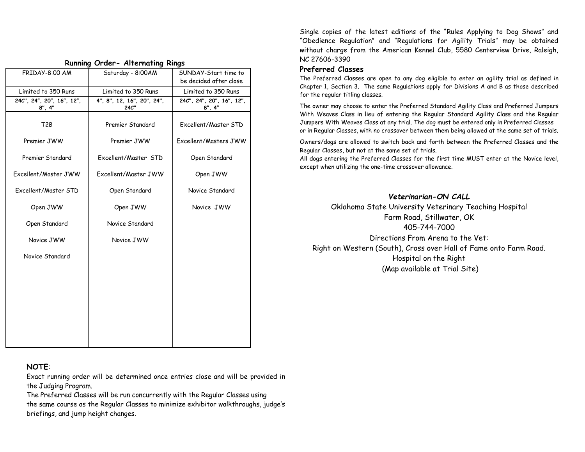|                                                                      | Running Orger- Alternating Rings   |                                      |
|----------------------------------------------------------------------|------------------------------------|--------------------------------------|
| FRIDAY-8:00 AM                                                       | Saturday - 8:00AM                  | SUNDAY-Start time to                 |
|                                                                      |                                    | be decided after close               |
| Limited to 350 Runs                                                  | Limited to 350 Runs                | Limited to 350 Runs                  |
| 24C", 24", 20", 16", 12",<br>$8^{\prime\prime}$ , $4^{\prime\prime}$ | 4", 8", 12, 16", 20", 24",<br>24C" | 24C", 24", 20", 16", 12",<br>8''.4'' |
| T <sub>2</sub> B                                                     | Premier Standard                   | Excellent/Master STD                 |
| Premier JWW                                                          | Premier JWW                        | Excellent/Masters JWW                |
| Premier Standard                                                     | Excellent/Master STD               | Open Standard                        |
| Excellent/Master JWW                                                 | Excellent/Master JWW               | Open JWW                             |
| Fxcellent/Master STD                                                 | Open Standard                      | Novice Standard                      |
| Open JWW                                                             | Open JWW                           | Novice JWW                           |
| Open Standard                                                        | Novice Standard                    |                                      |
| Novice JWW                                                           | Novice JWW                         |                                      |
| Novice Standard                                                      |                                    |                                      |
|                                                                      |                                    |                                      |
|                                                                      |                                    |                                      |
|                                                                      |                                    |                                      |
|                                                                      |                                    |                                      |
|                                                                      |                                    |                                      |

 **Running Order- Alternating Rings** 

Single copies of the latest editions of the "Rules Applying to Dog Shows" and "Obedience Regulation" and "Regulations for Agility Trials" may be obtained without charge from the American Kennel Club, 5580 Centerview Drive, Raleigh, NC 27606-3390

#### **Preferred Classes**

 The Preferred Classes are open to any dog eligible to enter an agility trial as defined in Chapter 1, Section 3. The same Regulations apply for Divisions A and B as those described for the regular titling classes.

The owner may choose to enter the Preferred Standard Agility Class and Preferred Jumpers With Weaves Class in lieu of entering the Regular Standard Agility Class and the Regular Jumpers With Weaves Class at any trial. The dog must be entered only in Preferred Classes or in Regular Classes, with no crossover between them being allowed at the same set of trials.

Owners/dogs are allowed to switch back and forth between the Preferred Classes and the Regular Classes, but not at the same set of trials.

All dogs entering the Preferred Classes for the first time MUST enter at the Novice level, except when utilizing the one-time crossover allowance.

*Veterinarian-ON CALL* Oklahoma State University Veterinary Teaching Hospital Farm Road, Stillwater, OK 405-744-7000 Directions From Arena to the Vet: Right on Western (South), Cross over Hall of Fame onto Farm Road. Hospital on the Right (Map available at Trial Site)

### **NOTE**:

Exact running order will be determined once entries close and will be provided in the Judging Program.

The Preferred Classes will be run concurrently with the Regular Classes using the same course as the Regular Classes to minimize exhibitor walkthroughs, judge's briefings, and jump height changes.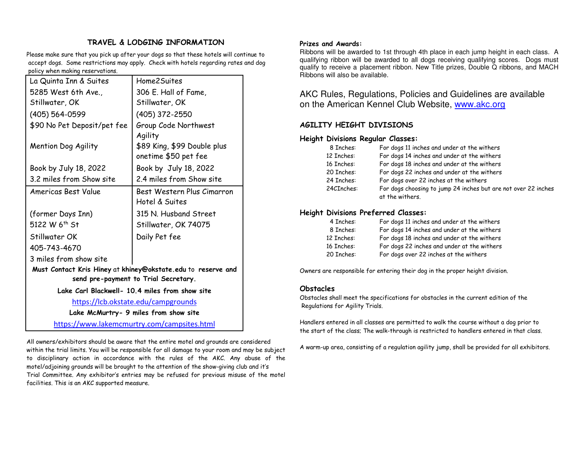## **TRAVEL & LODGING INFORMATION**

Please make sure that you pick up after your dogs so that these hotels will continue to accept dogs. Some restrictions may apply. Check with hotels regarding rates and dog policy when making reservations.

| La Quinta Inn & Suites                         | Home2Suites                                                  |  |  |  |  |  |
|------------------------------------------------|--------------------------------------------------------------|--|--|--|--|--|
| 5285 West 6th Ave.,                            | 306 E. Hall of Fame,                                         |  |  |  |  |  |
| Stillwater, OK                                 | Stillwater, OK                                               |  |  |  |  |  |
| (405) 564-0599                                 | (405) 372-2550                                               |  |  |  |  |  |
| \$90 No Pet Deposit/pet fee                    | Group Code Northwest                                         |  |  |  |  |  |
|                                                | Agility                                                      |  |  |  |  |  |
| Mention Dog Agility                            | \$89 King, \$99 Double plus                                  |  |  |  |  |  |
|                                                | onetime \$50 pet fee                                         |  |  |  |  |  |
| Book by July 18, 2022                          | Book by July 18, 2022                                        |  |  |  |  |  |
| 3.2 miles from Show site                       | 2.4 miles from Show site                                     |  |  |  |  |  |
| Americas Best Value                            | Best Western Plus Cimarron                                   |  |  |  |  |  |
|                                                | Hotel & Suites                                               |  |  |  |  |  |
| (former Days Inn)                              | 315 N. Husband Street                                        |  |  |  |  |  |
| 5122 W 6th St                                  | Stillwater, OK 74075                                         |  |  |  |  |  |
| Stillwater OK                                  | Daily Pet fee                                                |  |  |  |  |  |
| 405-743-4670                                   |                                                              |  |  |  |  |  |
| 3 miles from show site                         |                                                              |  |  |  |  |  |
|                                                | Must Contact Kris Hiney at khiney@okstate.edu to reserve and |  |  |  |  |  |
| send pre-payment to Trial Secretary.           |                                                              |  |  |  |  |  |
| Lake Carl Blackwell- 10.4 miles from show site |                                                              |  |  |  |  |  |
| https://lcb.okstate.edu/campgrounds            |                                                              |  |  |  |  |  |
| Lake McMurtry- 9 miles from show site          |                                                              |  |  |  |  |  |
| https://www.lakemcmurtry.com/campsites.html    |                                                              |  |  |  |  |  |

All owners/exhibitors should be aware that the entire motel and grounds are considered within the trial limits. You will be responsible for all damage to your room and may be subject to disciplinary action in accordance with the rules of the AKC. Any abuse of the motel/adjoining grounds will be brought to the attention of the show-giving club and it's Trial Committee. Any exhibitor's entries may be refused for previous misuse of the motel facilities. This is an AKC supported measure.

#### **Prizes and Awards:**

 Ribbons will be awarded to 1st through 4th place in each jump height in each class. A qualifying ribbon will be awarded to all dogs receiving qualifying scores. Dogs must qualify to receive a placement ribbon. New Title prizes, Double Q ribbons, and MACH Ribbons will also be available.

AKC Rules, Regulations, Policies and Guidelines are available on the American Kennel Club Website, www.akc.org

#### **AGILITY HEIGHT DIVISIONS**

#### **Height Divisions Regular Classes:**

| 8 Inches:  | For dogs 11 inches and under at the withers                                       |
|------------|-----------------------------------------------------------------------------------|
| 12 Inches: | For dogs 14 inches and under at the withers                                       |
| 16 Inches: | For dogs 18 inches and under at the withers                                       |
| 20 Inches: | For dogs 22 inches and under at the withers                                       |
| 24 Inches: | For dogs over 22 inches at the withers                                            |
| 24CInches: | For dogs choosing to jump 24 inches but are not over 22 inches<br>at the withers. |

#### **Height Divisions Preferred Classes:**

| 4 Inches:  | For dogs 11 inches and under at the withers |
|------------|---------------------------------------------|
| 8 Inches:  | For dogs 14 inches and under at the withers |
| 12 Inches: | For dogs 18 inches and under at the withers |
| 16 Inches: | For dogs 22 inches and under at the withers |
| 20 Inches: | For dogs over 22 inches at the withers      |

Owners are responsible for entering their dog in the proper height division.

#### **Obstacles**

 Obstacles shall meet the specifications for obstacles in the current edition of the Regulations for Agility Trials.

Handlers entered in all classes are permitted to walk the course without a dog prior to the start of the class; The walk-through is restricted to handlers entered in that class.

A warm-up area, consisting of a regulation agility jump, shall be provided for all exhibitors.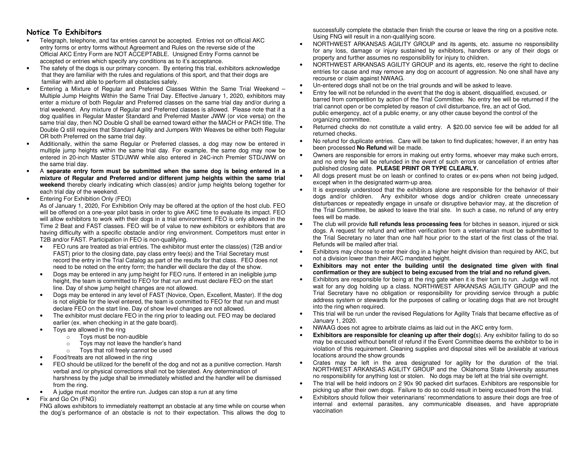#### **Notice To Exhibitors**

- Telegraph, telephone, and fax entries cannot be accepted. Entries not on official AKC entry forms or entry forms without Agreement and Rules on the reverse side of the Official AKC Entry Form are NOT ACCEPTABLE. Unsigned Entry Forms cannot be accepted or entries which specify any conditions as to it's acceptance.
- The safety of the dogs is our primary concern. By entering this trial, exhibitors acknowledge that they are familiar with the rules and regulations of this sport, and that their dogs are familiar with and able to perform all obstacles safely.
- Entering a Mixture of Regular and Preferred Classes Within the Same Trial Weekend Multiple Jump Heights Within the Same Trial Day. Effective January 1, 2020, exhibitors may enter a mixture of both Regular and Preferred classes on the same trial day and/or during a trial weekend. Any mixture of Regular and Preferred classes is allowed. Please note that if a dog qualifies in Regular Master Standard and Preferred Master JWW (or vice versa) on the same trial day, then NO Double Q shall be earned toward either the MACH or PACH title. The Double Q still requires that Standard Agility and Jumpers With Weaves be either both Regular OR both Preferred on the same trial day.
- Additionally, within the same Regular or Preferred classes, a dog may now be entered in multiple jump heights within the same trial day. For example, the same dog may now be entered in 20-inch Master STD/JWW while also entered in 24C-inch Premier STD/JWW on the same trial day.
- A **separate entry form must be submitted when the same dog is being entered in a mixture of Regular and Preferred and/or different jump heights within the same trial weekend** thereby clearly indicating which class(es) and/or jump heights belong together for each trial day of the weekend.
- Entering For Exhibition Only (FEO)

 As of January 1, 2020, For Exhibition Only may be offered at the option of the host club. FEO will be offered on a one-year pilot basis in order to give AKC time to evaluate its impact. FEO will allow exhibitors to work with their dogs in a trial environment. FEO is only allowed in the Time 2 Beat and FAST classes. FEO will be of value to new exhibitors or exhibitors that are having difficulty with a specific obstacle and/or ring environment. Competitors must enter in T2B and/or FAST. Participation in FEO is non-qualifying.

- FEO runs are treated as trial entries. The exhibitor must enter the class(es) (T2B and/or FAST) prior to the closing date, pay class entry fee(s) and the Trial Secretary must record the entry in the Trial Catalog as part of the results for that class. FEO does not need to be noted on the entry form; the handler will declare the day of the show.
- Dogs may be entered in any jump height for FEO runs. If entered in an ineligible jump height, the team is committed to FEO for that run and must declare FEO on the start line. Day of show jump height changes are not allowed.
- Dogs may be entered in any level of FAST (Novice, Open, Excellent, Master). If the dog is not eligible for the level entered, the team is committed to FEO for that run and must declare FEO on the start line. Day of show level changes are not allowed.
- The exhibitor must declare FEO in the ring prior to leading out. FEO may be declared earlier (ex. when checking in at the gate board).
- Toys are allowed in the ring
	- o Toys must be non-audible
	- o Toys may not leave the handler's hand
	- o Toys that roll freely cannot be used
- Food/treats are not allowed in the ring
- FEO should be utilized for the benefit of the dog and not as a punitive correction. Harsh verbal and /or physical corrections shall not be tolerated. Any determination of harshness by the judge shall be immediately whistled and the handler will be dismissed from the ring.
- A judge must monitor the entire run. Judges can stop a run at any time
- Fix and Go On (FNG)

 FNG allows exhibitors to immediately reattempt an obstacle at any time while on course when the dog's performance of an obstacle is not to their expectation. This allows the dog to successfully complete the obstacle then finish the course or leave the ring on a positive note. Using FNG will result in a non-qualifying score.

- NORTHWEST ARKANSAS AGILITY GROUP and its agents, etc. assume no responsibility for any loss, damage or injury sustained by exhibitors, handlers or any of their dogs or property and further assumes no responsibility for injury to children.
- NORTHWEST ARKANSAS AGILITY GROUP and its agents, etc, reserve the right to decline entries for cause and may remove any dog on account of aggression. No one shall have any recourse or claim against NWAAG.
- Un-entered dogs shall not be on the trial grounds and will be asked to leave.
- Entry fee will not be refunded in the event that the dog is absent, disqualified, excused, or barred from competition by action of the Trial Committee. No entry fee will be returned if the trial cannot open or be completed by reason of civil disturbance, fire, an act of God, public emergency, act of a public enemy, or any other cause beyond the control of the organizing committee.
- Returned checks do not constitute a valid entry. A \$20.00 service fee will be added for all returned checks.
- No refund for duplicate entries. Care will be taken to find duplicates; however, if an entry has been processed **No Refund** will be made.
- Owners are responsible for errors in making out entry forms, whoever may make such errors, and no entry fee will be refunded in the event of such errors or cancellation of entries after published closing date. **PLEASE PRINT OR TYPE CLEARLY.**
- All dogs present must be on leash or confined to crates or ex-pens when not being judged, except when in the designated warm-up area.
- It is expressly understood that the exhibitors alone are responsible for the behavior of their dogs and/or children. Any exhibitor whose dogs and/or children create unnecessary disturbances or repeatedly engage in unsafe or disruptive behavior may, at the discretion of the Trial Committee, be asked to leave the trial site. In such a case, no refund of any entry fees will be made.
- The club will provide **full refunds less processing fees** for bitches in season, injured or sick dogs. A request for refund and written verification from a veterinarian must be submitted to the Trial Secretary no later than one half hour prior to the start of the first class of the trial. Refunds will be mailed after trial.
- Exhibitors may choose to enter their dog in a higher height division than required by AKC, but not a division lower than their AKC mandated height.
- **Exhibitors may not enter the building until the designated time given with final**  •**confirmation or they are subject to being excused from the trial and no refund given.**
- Exhibitors are responsible for being at the ring gate when it is their turn to run. Judge will not wait for any dog holding up a class. NORTHWEST ARKANSAS AGILITY GROUP and the Trial Secretary have no obligation or responsibility for providing service through a public address system or stewards for the purposes of calling or locating dogs that are not brought into the ring when required.
- This trial will be run under the revised Regulations for Agility Trials that became effective as of January 1, 2020.
- NWAAG does not agree to arbitrate claims as laid out in the AKC entry form.
- **Exhibitors are responsible for cleaning up after their dog(**s). Any exhibitor failing to do so •may be excused without benefit of refund if the Event Committee deems the exhibitor to be in violation of this requirement. Cleaning supplies and disposal sites will be available at various locations around the show grounds
- Crates may be left in the area designated for agility for the duration of the trial. NORTHWEST ARKANSAS AGILITY GROUP and the Oklahoma State University assumes no responsibility for anything lost or stolen. No dogs may be left at the trial site overnight.
- The trial will be held indoors on 2 90x 90 packed dirt surfaces. Exhibitors are responsible for picking up after their own dogs. Failure to do so could result in being excused from the trial.
- Exhibitors should follow their veterinarians' recommendations to assure their dogs are free of internal and external parasites, any communicable diseases, and have appropriate vaccination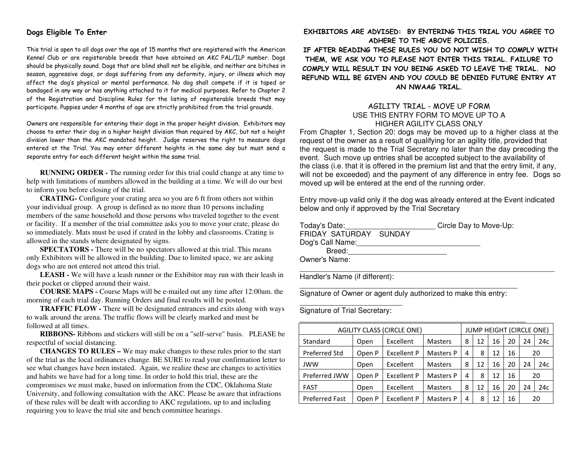#### **Dogs Eligible To Enter**

This trial is open to all dogs over the age of 15 months that are registered with the American Kennel Club or are registerable breeds that have obtained an AKC PAL/ILP number. Dogs should be physically sound. Dogs that are blind shall not be eligible, and neither are bitches in season, aggressive dogs, or dogs suffering from any deformity, injury, or illness which may affect the dog's physical or mental performance. No dog shall compete if it is taped or bandaged in any way or has anything attached to it for medical purposes. Refer to Chapter 2 of the Registration and Discipline Rules for the listing of registerable breeds that may participate. Puppies under 4 months of age are strictly prohibited from the trial grounds.

Owners are responsible for entering their dogs in the proper height division. Exhibitors may choose to enter their dog in a higher height division than required by AKC, but not a height division lower than the AKC mandated height. Judge reserves the right to measure dogs entered at the Trial. You may enter different heights in the same day but must send a separate entry for each different height within the same trial.

**RUNNING ORDER - The running order for this trial could change at any time to** help with limitations of numbers allowed in the building at a time. We will do our best to inform you before closing of the trial.

 **CRATING-** Configure your crating area so you are 6 ft from others not within your individual group. A group is defined as no more than 10 persons including members of the same household and those persons who traveled together to the event or facility. If a member of the trial committee asks you to move your crate, please do so immediately. Mats must be used if crated in the lobby and classrooms. Crating is allowed in the stands where designated by signs.

 **SPECTATORS -** There will be no spectators allowed at this trial. This means only Exhibitors will be allowed in the building. Due to limited space, we are asking dogs who are not entered not attend this trial.

 **LEASH -** We will have a leash runner or the Exhibitor may run with their leash in their pocket or clipped around their waist.

**COURSE MAPS -** Course Maps will be e-mailed out any time after 12:00am. the morning of each trial day. Running Orders and final results will be posted.

 **TRAFFIC FLOW -** There will be designated entrances and exits along with ways to walk around the arena. The traffic flows will be clearly marked and must be followed at all times.

 **RIBBONS-** Ribbons and stickers will still be on a "self-serve" basis. PLEASE be respectful of social distancing.

 **CHANGES TO RULES –** We may make changes to these rules prior to the start of the trial as the local ordinances change. BE SURE to read your confirmation letter to see what changes have been instated. Again, we realize these are changes to activities and habits we have had for a long time. In order to hold this trial, these are the compromises we must make, based on information from the CDC, Oklahoma State University, and following consultation with the AKC. Please be aware that infractions of these rules will be dealt with according to AKC regulations, up to and including requiring you to leave the trial site and bench committee hearings.

#### **EXHIBITORS ARE ADVISED: BY ENTERING THIS TRIAL YOU AGREE TO ADHERE TO THE ABOVE POLICIES.**

  **IF AFTER READING THESE RULES YOU DO NOT WISH TO COMPLY WITH THEM, WE ASK YOU TO PLEASE NOT ENTER THIS TRIAL. FAILURE TO COMPLY WILL RESULT IN YOU BEING ASKED TO LEAVE THE TRIAL. NO REFUND WILL BE GIVEN AND YOU COULD BE DENIED FUTURE ENTRY AT AN NWAAG TRIAL.** 

#### AGILITY TRIAL - MOVE UP FORM USE THIS ENTRY FORM TO MOVE UP TO A HIGHER AGILITY CLASS ONLY

 From Chapter 1, Section 20: dogs may be moved up to a higher class at the request of the owner as a result of qualifying for an agility title, provided that the request is made to the Trial Secretary no later than the day preceding the event. Such move up entries shall be accepted subject to the availability of the class (i.e. that it is offered in the premium list and that the entry limit, if any, will not be exceeded) and the payment of any difference in entry fee. Dogs so moved up will be entered at the end of the running order.

Entry move-up valid only if the dog was already entered at the Event indicated below and only if approved by the Trial Secretary

| Today's Date:          | Circle Day to Move-Up: |  |
|------------------------|------------------------|--|
| FRIDAY SATURDAY SUNDAY |                        |  |
| Dog's Call Name:       |                        |  |
| Breed:                 |                        |  |
| Owner's Name:          |                        |  |
|                        |                        |  |

Handler's Name (if different):

Signature of Owner or agent duly authorized to make this entry:

\_\_\_\_\_\_\_\_\_\_\_\_\_\_\_\_\_\_\_\_\_\_\_\_\_ Signature of Trial Secretary: \_\_\_\_\_\_\_\_\_\_\_\_\_\_\_\_\_\_\_\_\_\_\_\_\_\_\_\_\_\_\_\_\_\_\_\_\_\_\_\_\_\_\_\_\_\_\_\_\_\_\_\_\_\_\_

| <b>AGILITY CLASS (CIRCLE ONE)</b> |                                                            |                    |                |    | JUMP HEIGHT (CIRCLE ONE) |    |    |           |     |  |  |  |  |
|-----------------------------------|------------------------------------------------------------|--------------------|----------------|----|--------------------------|----|----|-----------|-----|--|--|--|--|
| Standard                          | Excellent<br>8<br><b>Masters</b><br>12<br>16<br>20<br>Open |                    |                |    |                          |    |    |           |     |  |  |  |  |
| Preferred Std                     | Open P                                                     | 4                  | 8              | 12 | 16                       |    | 20 |           |     |  |  |  |  |
| <b>JWW</b>                        | Open                                                       | Excellent          | <b>Masters</b> | 8  | 12                       | 16 | 20 | 24        | 24c |  |  |  |  |
| Preferred JWW                     | Open P                                                     | <b>Excellent P</b> | Masters P      | 4  | 8                        | 12 | 16 |           | 20  |  |  |  |  |
| <b>FAST</b>                       | Open                                                       | Excellent          | <b>Masters</b> | 8  | 12                       | 16 | 20 | 24c<br>24 |     |  |  |  |  |
| <b>Preferred Fast</b>             | Open P                                                     | <b>Excellent P</b> | Masters P      | 4  | 8                        | 12 | 16 | 20        |     |  |  |  |  |